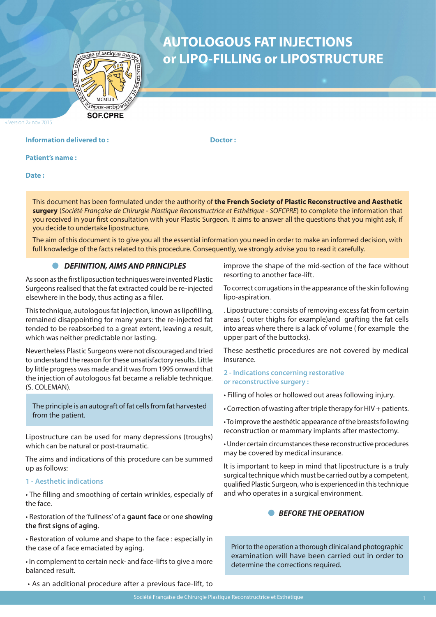

# **AUTOLOGOUS FAT INJECTIONS or LIPO-FILLING or LIPOSTRUCTURE**

Version 2» nov 2015

# **Information delivered to :** The Contraction of the Doctor :

**Patient's name :** 

**Date :** 

This document has been formulated under the authority of **the French Society of Plastic Reconstructive and Aesthetic surgery** (*Société Française de Chirurgie Plastique Reconstructrice et Esthétique - SOFCPRE*) to complete the information that you received in your first consultation with your Plastic Surgeon. It aims to answer all the questions that you might ask, if you decide to undertake lipostructure.

The aim of this document is to give you all the essential information you need in order to make an informed decision, with full knowledge of the facts related to this procedure. Consequently, we strongly advise you to read it carefully.

#### *DEFINITION, AIMS AND PRINCIPLES*

As soon as the first liposuction techniques were invented Plastic Surgeons realised that the fat extracted could be re-injected elsewhere in the body, thus acting as a filler.

This technique, autologous fat injection, known as lipofilling, remained disappointing for many years: the re-injected fat tended to be reabsorbed to a great extent, leaving a result, which was neither predictable nor lasting.

Nevertheless Plastic Surgeons were not discouraged and tried to understand the reason for these unsatisfactory results. Little by little progress was made and it was from 1995 onward that the injection of autologous fat became a reliable technique. (S. COLEMAN).

The principle is an autograft of fat cells from fat harvested from the patient.

Lipostructure can be used for many depressions (troughs) which can be natural or post-traumatic.

The aims and indications of this procedure can be summed up as follows:

#### **1 - Aesthetic indications**

• The filling and smoothing of certain wrinkles, especially of the face.

• Restoration of the 'fullness' of a **gaunt face** or one **showing the first signs of aging**.

• Restoration of volume and shape to the face : especially in the case of a face emaciated by aging.

• In complement to certain neck- and face-lifts to give a more balanced result.

• As an additional procedure after a previous face-lift, to

improve the shape of the mid-section of the face without resorting to another face-lift.

To correct corrugations in the appearance of the skin following lipo-aspiration.

. Lipostructure : consists of removing excess fat from certain areas ( outer thighs for example)and grafting the fat cells into areas where there is a lack of volume ( for example the upper part of the buttocks).

These aesthetic procedures are not covered by medical insurance.

#### **2 - Indications concerning restorative or reconstructive surgery :**

- Filling of holes or hollowed out areas following injury.
- Correction of wasting after triple therapy for HIV + patients.

• To improve the aesthétic appearance of the breasts following reconstruction or mammary implants after mastectomy.

• Under certain circumstances these reconstructive procedures may be covered by medical insurance.

It is important to keep in mind that lipostructure is a truly surgical technique which must be carried out by a competent, qualified Plastic Surgeon, who is experienced in this technique and who operates in a surgical environment.

# **• BEFORE THE OPERATION**

Prior to the operation a thorough clinical and photographic examination will have been carried out in order to determine the corrections required.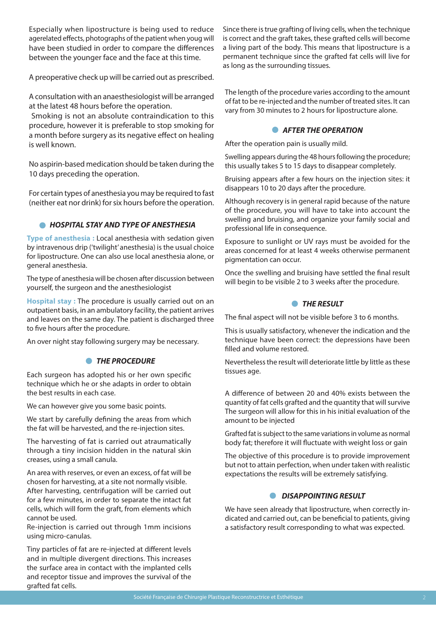Especially when lipostructure is being used to reduce agerelated effects, photographs of the patient when youg will have been studied in order to compare the differences between the younger face and the face at this time.

A preoperative check up will be carried out as prescribed.

A consultation with an anaesthesiologist will be arranged at the latest 48 hours before the operation.

 Smoking is not an absolute contraindication to this procedure, however it is preferable to stop smoking for a month before surgery as its negative effect on healing is well known.

No aspirin-based medication should be taken during the 10 days preceding the operation.

For certain types of anesthesia you may be required to fast (neither eat nor drink) for six hours before the operation.

# *HOSPITAL STAY AND TYPE OF ANESTHESIA*

**Type of anesthesia :** Local anesthesia with sedation given by intravenous drip ('twilight' anesthesia) is the usual choice for lipostructure. One can also use local anesthesia alone, or general anesthesia.

The type of anesthesia will be chosen after discussion between yourself, the surgeon and the anesthesiologist

**Hospital stay :** The procedure is usually carried out on an outpatient basis, in an ambulatory facility, the patient arrives and leaves on the same day. The patient is discharged three to five hours after the procedure.

An over night stay following surgery may be necessary.

# *THE PROCEDURE*

Each surgeon has adopted his or her own specific technique which he or she adapts in order to obtain the best results in each case.

We can however give you some basic points.

We start by carefully defining the areas from which the fat will be harvested, and the re-injection sites.

The harvesting of fat is carried out atraumatically through a tiny incision hidden in the natural skin creases, using a small canula.

An area with reserves, or even an excess, of fat will be chosen for harvesting, at a site not normally visible. After harvesting, centrifugation will be carried out for a few minutes, in order to separate the intact fat cells, which will form the graft, from elements which cannot be used.

Re-injection is carried out through 1mm incisions using micro-canulas.

Tiny particles of fat are re-injected at different levels and in multiple divergent directions. This increases the surface area in contact with the implanted cells and receptor tissue and improves the survival of the grafted fat cells.

Since there is true grafting of living cells, when the technique is correct and the graft takes, these grafted cells will become a living part of the body. This means that lipostructure is a permanent technique since the grafted fat cells will live for as long as the surrounding tissues.

The length of the procedure varies according to the amount of fat to be re-injected and the number of treated sites. It can vary from 30 minutes to 2 hours for lipostructure alone.

### **• AFTER THE OPERATION**

After the operation pain is usually mild.

Swelling appears during the 48 hours following the procedure; this usually takes 5 to 15 days to disappear completely.

Bruising appears after a few hours on the injection sites: it disappears 10 to 20 days after the procedure.

Although recovery is in general rapid because of the nature of the procedure, you will have to take into account the swelling and bruising, and organize your family social and professional life in consequence.

Exposure to sunlight or UV rays must be avoided for the areas concerned for at least 4 weeks otherwise permanent pigmentation can occur.

Once the swelling and bruising have settled the final result will begin to be visible 2 to 3 weeks after the procedure.

# **• THE RESULT**

The final aspect will not be visible before 3 to 6 months.

This is usually satisfactory, whenever the indication and the technique have been correct: the depressions have been filled and volume restored.

Nevertheless the result will deteriorate little by little as these tissues age.

A difference of between 20 and 40% exists between the quantity of fat cells grafted and the quantity that will survive The surgeon will allow for this in his initial evaluation of the amount to be injected

Grafted fat is subject to the same variations in volume as normal body fat; therefore it will fluctuate with weight loss or gain

The objective of this procedure is to provide improvement but not to attain perfection, when under taken with realistic expectations the results will be extremely satisfying.

# **• DISAPPOINTING RESULT**

We have seen already that lipostructure, when correctly indicated and carried out, can be beneficial to patients, giving a satisfactory result corresponding to what was expected.